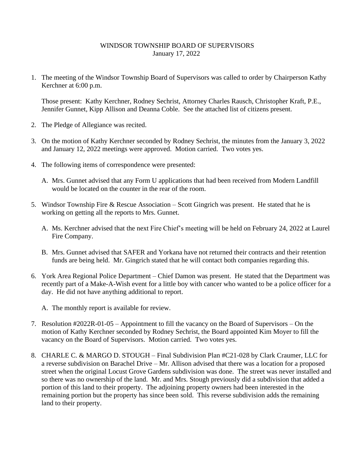## WINDSOR TOWNSHIP BOARD OF SUPERVISORS January 17, 2022

1. The meeting of the Windsor Township Board of Supervisors was called to order by Chairperson Kathy Kerchner at 6:00 p.m.

Those present: Kathy Kerchner, Rodney Sechrist, Attorney Charles Rausch, Christopher Kraft, P.E., Jennifer Gunnet, Kipp Allison and Deanna Coble. See the attached list of citizens present.

- 2. The Pledge of Allegiance was recited.
- 3. On the motion of Kathy Kerchner seconded by Rodney Sechrist, the minutes from the January 3, 2022 and January 12, 2022 meetings were approved. Motion carried. Two votes yes.
- 4. The following items of correspondence were presented:
	- A. Mrs. Gunnet advised that any Form U applications that had been received from Modern Landfill would be located on the counter in the rear of the room.
- 5. Windsor Township Fire & Rescue Association Scott Gingrich was present. He stated that he is working on getting all the reports to Mrs. Gunnet.
	- A. Ms. Kerchner advised that the next Fire Chief's meeting will be held on February 24, 2022 at Laurel Fire Company.
	- B. Mrs. Gunnet advised that SAFER and Yorkana have not returned their contracts and their retention funds are being held. Mr. Gingrich stated that he will contact both companies regarding this.
- 6. York Area Regional Police Department Chief Damon was present. He stated that the Department was recently part of a Make-A-Wish event for a little boy with cancer who wanted to be a police officer for a day. He did not have anything additional to report.
	- A. The monthly report is available for review.
- 7. Resolution #2022R-01-05 Appointment to fill the vacancy on the Board of Supervisors On the motion of Kathy Kerchner seconded by Rodney Sechrist, the Board appointed Kim Moyer to fill the vacancy on the Board of Supervisors. Motion carried. Two votes yes.
- 8. CHARLE C. & MARGO D. STOUGH Final Subdivision Plan #C21-028 by Clark Craumer, LLC for a reverse subdivision on Barachel Drive – Mr. Allison advised that there was a location for a proposed street when the original Locust Grove Gardens subdivision was done. The street was never installed and so there was no ownership of the land. Mr. and Mrs. Stough previously did a subdivision that added a portion of this land to their property. The adjoining property owners had been interested in the remaining portion but the property has since been sold. This reverse subdivision adds the remaining land to their property.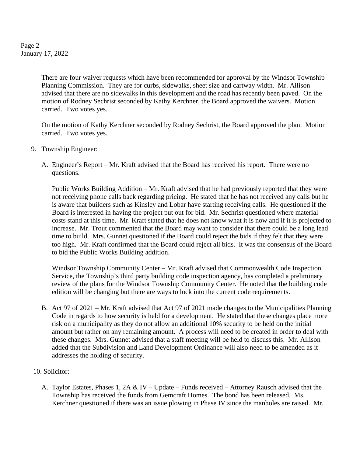Page 2 January 17, 2022

> There are four waiver requests which have been recommended for approval by the Windsor Township Planning Commission. They are for curbs, sidewalks, sheet size and cartway width. Mr. Allison advised that there are no sidewalks in this development and the road has recently been paved. On the motion of Rodney Sechrist seconded by Kathy Kerchner, the Board approved the waivers. Motion carried. Two votes yes.

> On the motion of Kathy Kerchner seconded by Rodney Sechrist, the Board approved the plan. Motion carried. Two votes yes.

- 9. Township Engineer:
	- A. Engineer's Report Mr. Kraft advised that the Board has received his report. There were no questions.

Public Works Building Addition – Mr. Kraft advised that he had previously reported that they were not receiving phone calls back regarding pricing. He stated that he has not received any calls but he is aware that builders such as Kinsley and Lobar have starting receiving calls. He questioned if the Board is interested in having the project put out for bid. Mr. Sechrist questioned where material costs stand at this time. Mr. Kraft stated that he does not know what it is now and if it is projected to increase. Mr. Trout commented that the Board may want to consider that there could be a long lead time to build. Mrs. Gunnet questioned if the Board could reject the bids if they felt that they were too high. Mr. Kraft confirmed that the Board could reject all bids. It was the consensus of the Board to bid the Public Works Building addition.

Windsor Township Community Center – Mr. Kraft advised that Commonwealth Code Inspection Service, the Township's third party building code inspection agency, has completed a preliminary review of the plans for the Windsor Township Community Center. He noted that the building code edition will be changing but there are ways to lock into the current code requirements.

B. Act 97 of 2021 – Mr. Kraft advised that Act 97 of 2021 made changes to the Municipalities Planning Code in regards to how security is held for a development. He stated that these changes place more risk on a municipality as they do not allow an additional 10% security to be held on the initial amount but rather on any remaining amount. A process will need to be created in order to deal with these changes. Mrs. Gunnet advised that a staff meeting will be held to discuss this. Mr. Allison added that the Subdivision and Land Development Ordinance will also need to be amended as it addresses the holding of security.

## 10. Solicitor:

A. Taylor Estates, Phases 1, 2A & IV – Update – Funds received – Attorney Rausch advised that the Township has received the funds from Gemcraft Homes. The bond has been released. Ms. Kerchner questioned if there was an issue plowing in Phase IV since the manholes are raised. Mr.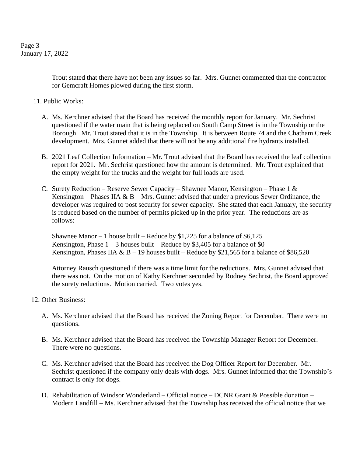Page 3 January 17, 2022

> Trout stated that there have not been any issues so far. Mrs. Gunnet commented that the contractor for Gemcraft Homes plowed during the first storm.

- 11. Public Works:
	- A. Ms. Kerchner advised that the Board has received the monthly report for January. Mr. Sechrist questioned if the water main that is being replaced on South Camp Street is in the Township or the Borough. Mr. Trout stated that it is in the Township. It is between Route 74 and the Chatham Creek development. Mrs. Gunnet added that there will not be any additional fire hydrants installed.
	- B. 2021 Leaf Collection Information Mr. Trout advised that the Board has received the leaf collection report for 2021. Mr. Sechrist questioned how the amount is determined. Mr. Trout explained that the empty weight for the trucks and the weight for full loads are used.
	- C. Surety Reduction Reserve Sewer Capacity Shawnee Manor, Kensington Phase 1 & Kensington – Phases IIA  $\& B$  – Mrs. Gunnet advised that under a previous Sewer Ordinance, the developer was required to post security for sewer capacity. She stated that each January, the security is reduced based on the number of permits picked up in the prior year. The reductions are as follows:

Shawnee Manor – 1 house built – Reduce by \$1,225 for a balance of  $$6,125$ Kensington, Phase  $1 - 3$  houses built – Reduce by \$3,405 for a balance of \$0 Kensington, Phases IIA & B – 19 houses built – Reduce by \$21,565 for a balance of \$86,520

Attorney Rausch questioned if there was a time limit for the reductions. Mrs. Gunnet advised that there was not. On the motion of Kathy Kerchner seconded by Rodney Sechrist, the Board approved the surety reductions. Motion carried. Two votes yes.

- 12. Other Business:
	- A. Ms. Kerchner advised that the Board has received the Zoning Report for December. There were no questions.
	- B. Ms. Kerchner advised that the Board has received the Township Manager Report for December. There were no questions.
	- C. Ms. Kerchner advised that the Board has received the Dog Officer Report for December. Mr. Sechrist questioned if the company only deals with dogs. Mrs. Gunnet informed that the Township's contract is only for dogs.
	- D. Rehabilitation of Windsor Wonderland Official notice DCNR Grant & Possible donation Modern Landfill – Ms. Kerchner advised that the Township has received the official notice that we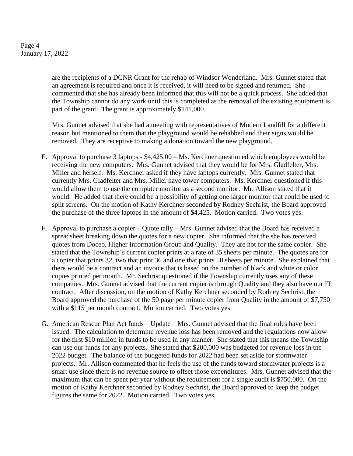Page 4 January 17, 2022

> are the recipients of a DCNR Grant for the rehab of Windsor Wonderland. Mrs. Gunnet stated that an agreement is required and once it is received, it will need to be signed and returned. She commented that she has already been informed that this will not be a quick process. She added that the Township cannot do any work until this is completed as the removal of the existing equipment is part of the grant. The grant is approximately \$141,000.

Mrs. Gunnet advised that she had a meeting with representatives of Modern Landfill for a different reason but mentioned to them that the playground would be rehabbed and their signs would be removed. They are receptive to making a donation toward the new playground.

- E. Approval to purchase 3 laptops \$4,425.00 Ms. Kerchner questioned which employees would be receiving the new computers. Mrs. Gunnet advised that they would be for Mrs. Gladfelter, Mrs. Miller and herself. Ms. Kerchner asked if they have laptops currently. Mrs. Gunnet stated that currently Mrs. Gladfelter and Mrs. Miller have tower computers. Ms. Kerchner questioned if this would allow them to use the computer monitor as a second monitor. Mr. Allison stated that it would. He added that there could be a possibility of getting one larger monitor that could be used to split screens. On the motion of Kathy Kerchner seconded by Rodney Sechrist, the Board approved the purchase of the three laptops in the amount of \$4,425. Motion carried. Two votes yes.
- F. Approval to purchase a copier Quote tally Mrs. Gunnet advised that the Board has received a spreadsheet breaking down the quotes for a new copier. She informed that the she has received quotes from Doceo, Higher Information Group and Quality. They are not for the same copier. She stated that the Township's current copier prints at a rate of 35 sheets per minute. The quotes are for a copier that prints 32, two that print 36 and one that prints 50 sheets per minute. She explained that there would be a contract and an invoice that is based on the number of black and white or color copies printed per month. Mr. Sechrist questioned if the Township currently uses any of these companies. Mrs. Gunnet advised that the current copier is through Quality and they also have our IT contract. After discussion, on the motion of Kathy Kerchner seconded by Rodney Sechrist, the Board approved the purchase of the 50 page per minute copier from Quality in the amount of \$7,750 with a \$115 per month contract. Motion carried. Two votes yes.
- G. American Rescue Plan Act funds Update Mrs. Gunnet advised that the final rules have been issued. The calculation to determine revenue loss has been removed and the regulations now allow for the first \$10 million in funds to be used in any manner. She stated that this means the Township can use our funds for any projects. She stated that \$200,000 was budgeted for revenue loss in the 2022 budget. The balance of the budgeted funds for 2022 had been set aside for stormwater projects. Mr. Allison commented that he feels the use of the funds toward stormwater projects is a smart use since there is no revenue source to offset those expenditures. Mrs. Gunnet advised that the maximum that can be spent per year without the requirement for a single audit is \$750,000. On the motion of Kathy Kerchner seconded by Rodney Sechrist, the Board approved to keep the budget figures the same for 2022. Motion carried. Two votes yes.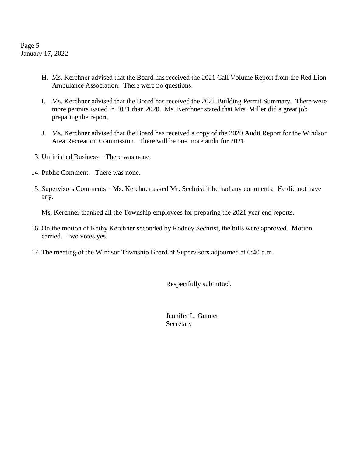Page 5 January 17, 2022

- H. Ms. Kerchner advised that the Board has received the 2021 Call Volume Report from the Red Lion Ambulance Association. There were no questions.
- I. Ms. Kerchner advised that the Board has received the 2021 Building Permit Summary. There were more permits issued in 2021 than 2020. Ms. Kerchner stated that Mrs. Miller did a great job preparing the report.
- J. Ms. Kerchner advised that the Board has received a copy of the 2020 Audit Report for the Windsor Area Recreation Commission. There will be one more audit for 2021.
- 13. Unfinished Business There was none.
- 14. Public Comment There was none.
- 15. Supervisors Comments Ms. Kerchner asked Mr. Sechrist if he had any comments. He did not have any.

Ms. Kerchner thanked all the Township employees for preparing the 2021 year end reports.

- 16. On the motion of Kathy Kerchner seconded by Rodney Sechrist, the bills were approved. Motion carried. Two votes yes.
- 17. The meeting of the Windsor Township Board of Supervisors adjourned at 6:40 p.m.

Respectfully submitted,

Jennifer L. Gunnet Secretary